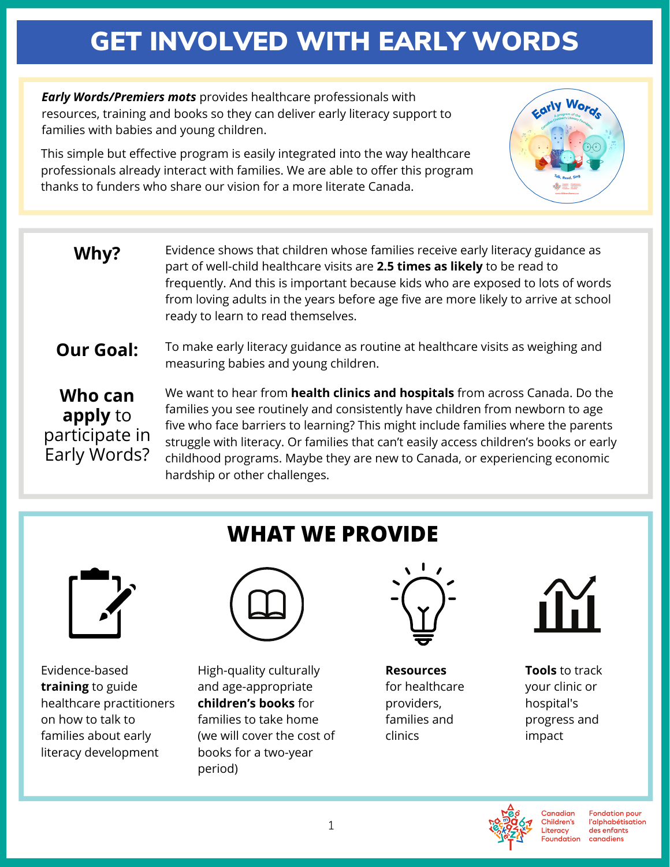# GET INVOLVED WITH EARLY WORDS

*Early Words/Premiers mots* provides healthcare professionals with resources, training and books so they can deliver early literacy support to families with babies and young children.

This simple but effective program is easily integrated into the way healthcare professionals already interact with families. We are able to offer this program thanks to funders who share our vision for a more literate Canada.



To make early literacy guidance as routine at healthcare visits as weighing and measuring babies and young children. **Our Goal:**

**Who can apply** to participate in Early Words? We want to hear from **health clinics and hospitals** from across Canada. Do the families you see routinely and consistently have children from newborn to age five who face barriers to learning? This might include families where the parents struggle with literacy. Or families that can't easily access children's books or early childhood programs. Maybe they are new to Canada, or experiencing economic hardship or other challenges.



Evidence-based **training** to guide healthcare practitioners on how to talk to families about early literacy development

### **WHAT WE PROVIDE**



High-quality culturally and age-appropriate **children's books** for families to take home (we will cover the cost of books for a two-year period)



**Resources** for healthcare providers, families and clinics



carly Word

**Tools** to track your clinic or hospital's progress and impact





**Fondation pour** l'alphabétisation des enfants canadiens